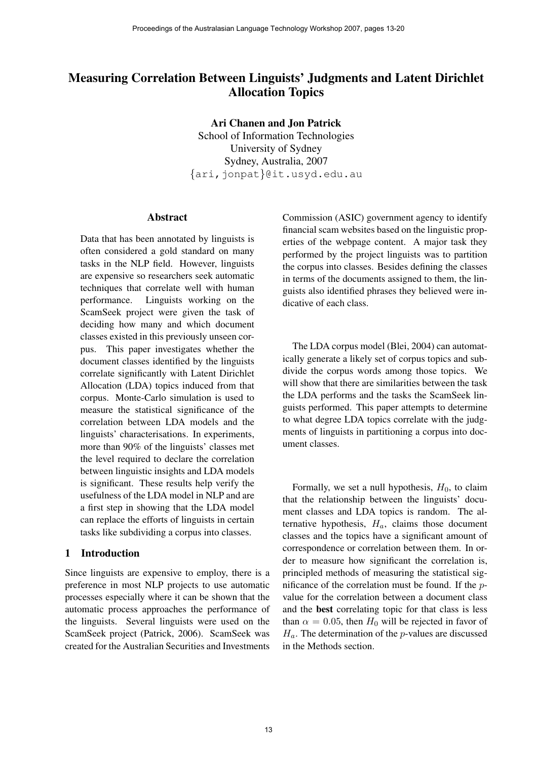# Measuring Correlation Between Linguists' Judgments and Latent Dirichlet Allocation Topics

Ari Chanen and Jon Patrick

School of Information Technologies University of Sydney Sydney, Australia, 2007 {ari,jonpat}@it.usyd.edu.au

### Abstract

Data that has been annotated by linguists is often considered a gold standard on many tasks in the NLP field. However, linguists are expensive so researchers seek automatic techniques that correlate well with human performance. Linguists working on the ScamSeek project were given the task of deciding how many and which document classes existed in this previously unseen corpus. This paper investigates whether the document classes identified by the linguists correlate significantly with Latent Dirichlet Allocation (LDA) topics induced from that corpus. Monte-Carlo simulation is used to measure the statistical significance of the correlation between LDA models and the linguists' characterisations. In experiments, more than 90% of the linguists' classes met the level required to declare the correlation between linguistic insights and LDA models is significant. These results help verify the usefulness of the LDA model in NLP and are a first step in showing that the LDA model can replace the efforts of linguists in certain tasks like subdividing a corpus into classes.

# 1 Introduction

Since linguists are expensive to employ, there is a preference in most NLP projects to use automatic processes especially where it can be shown that the automatic process approaches the performance of the linguists. Several linguists were used on the ScamSeek project (Patrick, 2006). ScamSeek was created for the Australian Securities and Investments Commission (ASIC) government agency to identify financial scam websites based on the linguistic properties of the webpage content. A major task they performed by the project linguists was to partition the corpus into classes. Besides defining the classes in terms of the documents assigned to them, the linguists also identified phrases they believed were indicative of each class.

The LDA corpus model (Blei, 2004) can automatically generate a likely set of corpus topics and subdivide the corpus words among those topics. We will show that there are similarities between the task the LDA performs and the tasks the ScamSeek linguists performed. This paper attempts to determine to what degree LDA topics correlate with the judgments of linguists in partitioning a corpus into document classes.

Formally, we set a null hypothesis,  $H_0$ , to claim that the relationship between the linguists' document classes and LDA topics is random. The alternative hypothesis,  $H_a$ , claims those document classes and the topics have a significant amount of correspondence or correlation between them. In order to measure how significant the correlation is, principled methods of measuring the statistical significance of the correlation must be found. If the pvalue for the correlation between a document class and the best correlating topic for that class is less than  $\alpha = 0.05$ , then  $H_0$  will be rejected in favor of  $H_a$ . The determination of the *p*-values are discussed in the Methods section.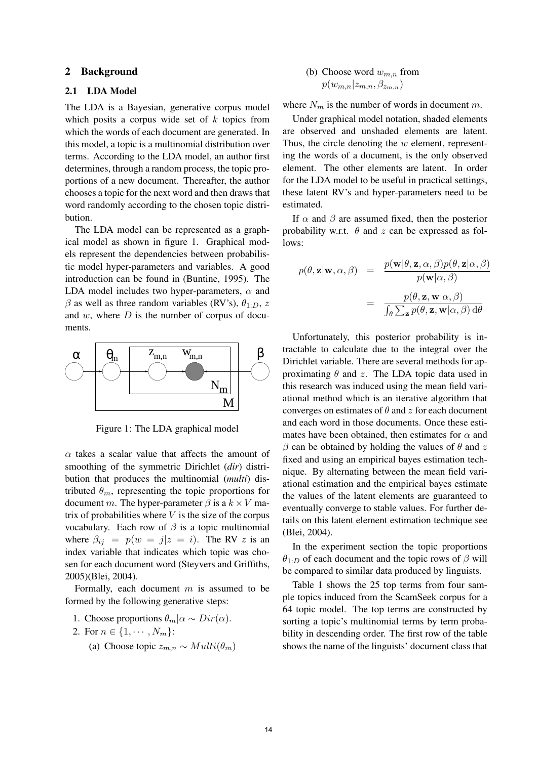# 2 Background

# 2.1 LDA Model

The LDA is a Bayesian, generative corpus model which posits a corpus wide set of  $k$  topics from which the words of each document are generated. In this model, a topic is a multinomial distribution over terms. According to the LDA model, an author first determines, through a random process, the topic proportions of a new document. Thereafter, the author chooses a topic for the next word and then draws that word randomly according to the chosen topic distribution.

The LDA model can be represented as a graphical model as shown in figure 1. Graphical models represent the dependencies between probabilistic model hyper-parameters and variables. A good introduction can be found in (Buntine, 1995). The LDA model includes two hyper-parameters,  $\alpha$  and  $\beta$  as well as three random variables (RV's),  $\theta_{1:D}$ , z and  $w$ , where  $D$  is the number of corpus of documents.



Figure 1: The LDA graphical model

 $\alpha$  takes a scalar value that affects the amount of smoothing of the symmetric Dirichlet (*dir*) distribution that produces the multinomial (*multi*) distributed  $\theta_m$ , representing the topic proportions for document m. The hyper-parameter  $\beta$  is a  $k \times V$  matrix of probabilities where  $V$  is the size of the corpus vocabulary. Each row of  $\beta$  is a topic multinomial where  $\beta_{ij} = p(w = j | z = i)$ . The RV z is an index variable that indicates which topic was chosen for each document word (Steyvers and Griffiths, 2005)(Blei, 2004).

Formally, each document  $m$  is assumed to be formed by the following generative steps:

1. Choose proportions  $\theta_m | \alpha \sim Dir(\alpha)$ .

2. For 
$$
n \in \{1, \cdots, N_m\}
$$
:

(a) Choose topic  $z_{m,n} \sim Multi(\theta_m)$ 

(b) Choose word 
$$
w_{m,n}
$$
 from  $p(w_{m,n}|z_{m,n}, \beta_{z_{m,n}})$ 

where  $N_m$  is the number of words in document m.

Under graphical model notation, shaded elements are observed and unshaded elements are latent. Thus, the circle denoting the  $w$  element, representing the words of a document, is the only observed element. The other elements are latent. In order for the LDA model to be useful in practical settings, these latent RV's and hyper-parameters need to be estimated.

If  $\alpha$  and  $\beta$  are assumed fixed, then the posterior probability w.r.t.  $\theta$  and z can be expressed as follows:

$$
p(\theta, \mathbf{z} | \mathbf{w}, \alpha, \beta) = \frac{p(\mathbf{w} | \theta, \mathbf{z}, \alpha, \beta) p(\theta, \mathbf{z} | \alpha, \beta)}{p(\mathbf{w} | \alpha, \beta)}
$$

$$
= \frac{p(\theta, \mathbf{z}, \mathbf{w} | \alpha, \beta)}{\int_{\theta} \sum_{\mathbf{z}} p(\theta, \mathbf{z}, \mathbf{w} | \alpha, \beta) d\theta}
$$

Unfortunately, this posterior probability is intractable to calculate due to the integral over the Dirichlet variable. There are several methods for approximating  $\theta$  and z. The LDA topic data used in this research was induced using the mean field variational method which is an iterative algorithm that converges on estimates of  $\theta$  and z for each document and each word in those documents. Once these estimates have been obtained, then estimates for  $\alpha$  and  $\beta$  can be obtained by holding the values of  $\theta$  and z fixed and using an empirical bayes estimation technique. By alternating between the mean field variational estimation and the empirical bayes estimate the values of the latent elements are guaranteed to eventually converge to stable values. For further details on this latent element estimation technique see (Blei, 2004).

In the experiment section the topic proportions  $\theta_{1:D}$  of each document and the topic rows of  $\beta$  will be compared to similar data produced by linguists.

Table 1 shows the 25 top terms from four sample topics induced from the ScamSeek corpus for a 64 topic model. The top terms are constructed by sorting a topic's multinomial terms by term probability in descending order. The first row of the table shows the name of the linguists' document class that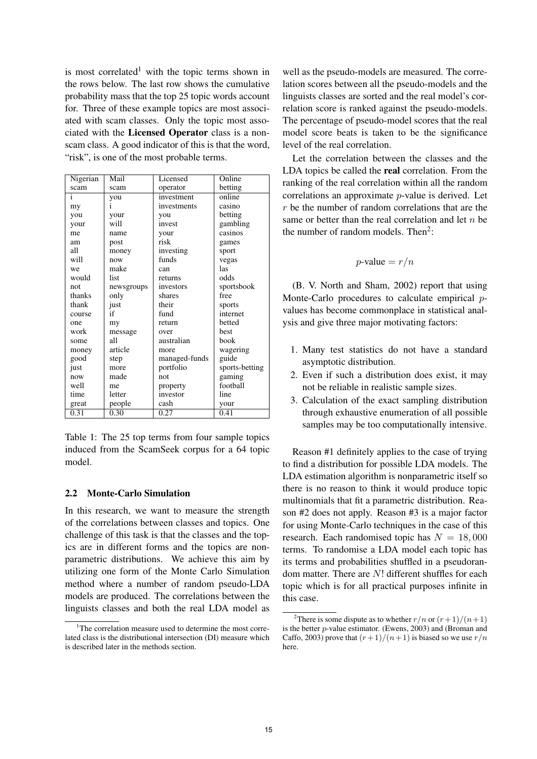is most correlated<sup>1</sup> with the topic terms shown in the rows below. The last row shows the cumulative probability mass that the top 25 topic words account for. Three of these example topics are most associated with scam classes. Only the topic most associated with the Licensed Operator class is a nonscam class. A good indicator of this is that the word, "risk", is one of the most probable terms.

| Nigerian     | Mail       | Licensed      | Online         |
|--------------|------------|---------------|----------------|
| scam         | scam       | operator      | betting        |
| $\mathbf{i}$ | you        | investment    | online         |
| my           |            | investments   | casino         |
| you          | your       | you           | betting        |
| your         | will       | invest        | gambling       |
| me           | name       | your          | casinos        |
| am           | post       | risk          | games          |
| all          | money      | investing     | sport          |
| will         | now        | funds         | vegas          |
| we           | make       | can           | las            |
| would        | list       | returns       | odds           |
| not          | newsgroups | investors     | sportsbook     |
| thanks       | only       | shares        | free           |
| thank        | just       | their         | sports         |
| course       | if         | fund          | internet       |
| one          | my         | return        | betted         |
| work         | message    | over          | best           |
| some         | all        | australian    | book           |
| money        | article    | more          | wagering       |
| good         | step       | managed-funds | guide          |
| just         | more       | portfolio     | sports-betting |
| now          | made       | not           | gaming         |
| well         | me         | property      | football       |
| time         | letter     | investor      | line           |
| great        | people     | cash          | your           |
| 0.31         | 0.30       | 0.27          | 0.41           |

Table 1: The 25 top terms from four sample topics induced from the ScamSeek corpus for a 64 topic model.

#### 2.2 Monte-Carlo Simulation

In this research, we want to measure the strength of the correlations between classes and topics. One challenge of this task is that the classes and the topics are in different forms and the topics are nonparametric distributions. We achieve this aim by utilizing one form of the Monte Carlo Simulation method where a number of random pseudo-LDA models are produced. The correlations between the linguists classes and both the real LDA model as

well as the pseudo-models are measured. The correlation scores between all the pseudo-models and the linguists classes are sorted and the real model's correlation score is ranked against the pseudo-models. The percentage of pseudo-model scores that the real model score beats is taken to be the significance level of the real correlation.

Let the correlation between the classes and the LDA topics be called the real correlation. From the ranking of the real correlation within all the random correlations an approximate p-value is derived. Let r be the number of random correlations that are the same or better than the real correlation and let  $n$  be the number of random models. Then<sup>2</sup>:

$$
p
$$
-value =  $r/n$ 

(B. V. North and Sham, 2002) report that using Monte-Carlo procedures to calculate empirical pvalues has become commonplace in statistical analysis and give three major motivating factors:

- 1. Many test statistics do not have a standard asymptotic distribution.
- 2. Even if such a distribution does exist, it may not be reliable in realistic sample sizes.
- 3. Calculation of the exact sampling distribution through exhaustive enumeration of all possible samples may be too computationally intensive.

Reason #1 definitely applies to the case of trying to find a distribution for possible LDA models. The LDA estimation algorithm is nonparametric itself so there is no reason to think it would produce topic multinomials that fit a parametric distribution. Reason #2 does not apply. Reason #3 is a major factor for using Monte-Carlo techniques in the case of this research. Each randomised topic has  $N = 18,000$ terms. To randomise a LDA model each topic has its terms and probabilities shuffled in a pseudorandom matter. There are N! different shuffles for each topic which is for all practical purposes infinite in this case.

 $1$ The correlation measure used to determine the most correlated class is the distributional intersection (DI) measure which is described later in the methods section.

<sup>&</sup>lt;sup>2</sup>There is some dispute as to whether  $r/n$  or  $(r+1)/(n+1)$ is the better p-value estimator. (Ewens, 2003) and (Broman and Caffo, 2003) prove that  $(r+1)/(n+1)$  is biased so we use  $r/n$ here.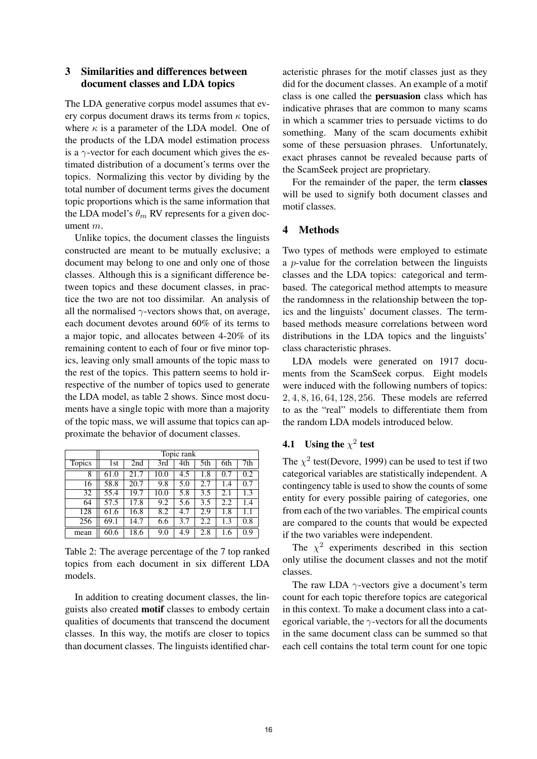# 3 Similarities and differences between document classes and LDA topics

The LDA generative corpus model assumes that every corpus document draws its terms from  $\kappa$  topics, where  $\kappa$  is a parameter of the LDA model. One of the products of the LDA model estimation process is a  $\gamma$ -vector for each document which gives the estimated distribution of a document's terms over the topics. Normalizing this vector by dividing by the total number of document terms gives the document topic proportions which is the same information that the LDA model's  $\theta_m$  RV represents for a given document m.

Unlike topics, the document classes the linguists constructed are meant to be mutually exclusive; a document may belong to one and only one of those classes. Although this is a significant difference between topics and these document classes, in practice the two are not too dissimilar. An analysis of all the normalised  $\gamma$ -vectors shows that, on average, each document devotes around 60% of its terms to a major topic, and allocates between 4-20% of its remaining content to each of four or five minor topics, leaving only small amounts of the topic mass to the rest of the topics. This pattern seems to hold irrespective of the number of topics used to generate the LDA model, as table 2 shows. Since most documents have a single topic with more than a majority of the topic mass, we will assume that topics can approximate the behavior of document classes.

|               | Topic rank |      |      |     |     |     |     |
|---------------|------------|------|------|-----|-----|-----|-----|
| <b>Topics</b> | 1st        | 2nd  | 3rd  | 4th | 5th | 6th | 7th |
| 8             | 61.0       | 21.7 | 10.0 | 4.5 | 1.8 | 0.7 | 0.2 |
| 16            | 58.8       | 20.7 | 9.8  | 5.0 | 2.7 | 1.4 | 0.7 |
| 32            | 55.4       | 19.7 | 10.0 | 5.8 | 3.5 | 2.1 | 1.3 |
| 64            | 57.5       | 17.8 | 9.2  | 5.6 | 3.5 | 2.2 | 1.4 |
| 128           | 61.6       | 16.8 | 8.2  | 4.7 | 2.9 | 1.8 | 1.1 |
| 256           | 69.1       | 14.7 | 6.6  | 3.7 | 2.2 | 1.3 | 0.8 |
| mean          | 60.6       | 18.6 | 9.0  | 4.9 | 2.8 | 1.6 | 0.9 |

Table 2: The average percentage of the 7 top ranked topics from each document in six different LDA models.

In addition to creating document classes, the linguists also created motif classes to embody certain qualities of documents that transcend the document classes. In this way, the motifs are closer to topics than document classes. The linguists identified characteristic phrases for the motif classes just as they did for the document classes. An example of a motif class is one called the persuasion class which has indicative phrases that are common to many scams in which a scammer tries to persuade victims to do something. Many of the scam documents exhibit some of these persuasion phrases. Unfortunately, exact phrases cannot be revealed because parts of the ScamSeek project are proprietary.

For the remainder of the paper, the term classes will be used to signify both document classes and motif classes.

# 4 Methods

Two types of methods were employed to estimate a p-value for the correlation between the linguists classes and the LDA topics: categorical and termbased. The categorical method attempts to measure the randomness in the relationship between the topics and the linguists' document classes. The termbased methods measure correlations between word distributions in the LDA topics and the linguists' class characteristic phrases.

LDA models were generated on 1917 documents from the ScamSeek corpus. Eight models were induced with the following numbers of topics: 2, 4, 8, 16, 64, 128, 256. These models are referred to as the "real" models to differentiate them from the random LDA models introduced below.

# **4.1** Using the  $\chi^2$  test

The  $\chi^2$  test(Devore, 1999) can be used to test if two categorical variables are statistically independent. A contingency table is used to show the counts of some entity for every possible pairing of categories, one from each of the two variables. The empirical counts are compared to the counts that would be expected if the two variables were independent.

The  $\chi^2$  experiments described in this section only utilise the document classes and not the motif classes.

The raw LDA  $\gamma$ -vectors give a document's term count for each topic therefore topics are categorical in this context. To make a document class into a categorical variable, the  $\gamma$ -vectors for all the documents in the same document class can be summed so that each cell contains the total term count for one topic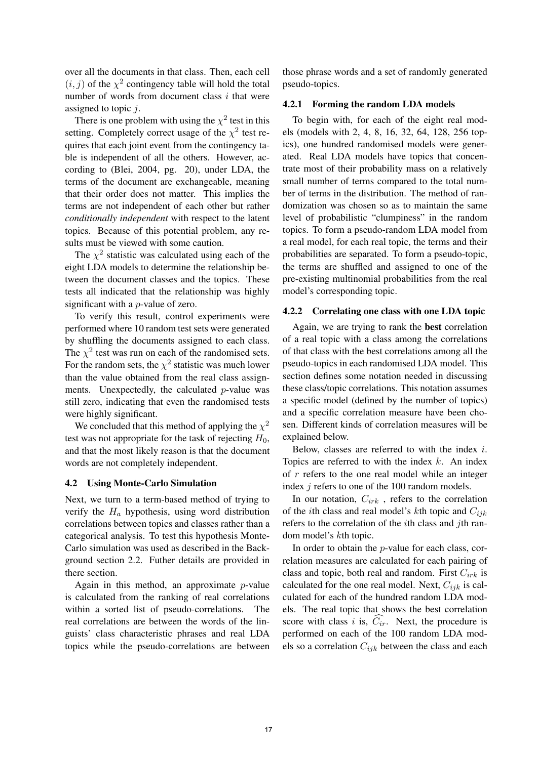over all the documents in that class. Then, each cell  $(i, j)$  of the  $\chi^2$  contingency table will hold the total number of words from document class  $i$  that were assigned to topic j.

There is one problem with using the  $\chi^2$  test in this setting. Completely correct usage of the  $\chi^2$  test requires that each joint event from the contingency table is independent of all the others. However, according to (Blei, 2004, pg. 20), under LDA, the terms of the document are exchangeable, meaning that their order does not matter. This implies the terms are not independent of each other but rather *conditionally independent* with respect to the latent topics. Because of this potential problem, any results must be viewed with some caution.

The  $\chi^2$  statistic was calculated using each of the eight LDA models to determine the relationship between the document classes and the topics. These tests all indicated that the relationship was highly significant with a p-value of zero.

To verify this result, control experiments were performed where 10 random test sets were generated by shuffling the documents assigned to each class. The  $\chi^2$  test was run on each of the randomised sets. For the random sets, the  $\chi^2$  statistic was much lower than the value obtained from the real class assignments. Unexpectedly, the calculated  $p$ -value was still zero, indicating that even the randomised tests were highly significant.

We concluded that this method of applying the  $\chi^2$ test was not appropriate for the task of rejecting  $H_0$ , and that the most likely reason is that the document words are not completely independent.

#### 4.2 Using Monte-Carlo Simulation

Next, we turn to a term-based method of trying to verify the  $H_a$  hypothesis, using word distribution correlations between topics and classes rather than a categorical analysis. To test this hypothesis Monte-Carlo simulation was used as described in the Background section 2.2. Futher details are provided in there section.

Again in this method, an approximate  $p$ -value is calculated from the ranking of real correlations within a sorted list of pseudo-correlations. The real correlations are between the words of the linguists' class characteristic phrases and real LDA topics while the pseudo-correlations are between

those phrase words and a set of randomly generated pseudo-topics.

### 4.2.1 Forming the random LDA models

To begin with, for each of the eight real models (models with 2, 4, 8, 16, 32, 64, 128, 256 topics), one hundred randomised models were generated. Real LDA models have topics that concentrate most of their probability mass on a relatively small number of terms compared to the total number of terms in the distribution. The method of randomization was chosen so as to maintain the same level of probabilistic "clumpiness" in the random topics. To form a pseudo-random LDA model from a real model, for each real topic, the terms and their probabilities are separated. To form a pseudo-topic, the terms are shuffled and assigned to one of the pre-existing multinomial probabilities from the real model's corresponding topic.

### 4.2.2 Correlating one class with one LDA topic

Again, we are trying to rank the best correlation of a real topic with a class among the correlations of that class with the best correlations among all the pseudo-topics in each randomised LDA model. This section defines some notation needed in discussing these class/topic correlations. This notation assumes a specific model (defined by the number of topics) and a specific correlation measure have been chosen. Different kinds of correlation measures will be explained below.

Below, classes are referred to with the index  $i$ . Topics are referred to with the index  $k$ . An index of r refers to the one real model while an integer index *j* refers to one of the 100 random models.

In our notation,  $C_{irk}$ , refers to the correlation of the *i*th class and real model's *k*th topic and  $C_{ijk}$ refers to the correlation of the ith class and jth random model's kth topic.

In order to obtain the *p*-value for each class, correlation measures are calculated for each pairing of class and topic, both real and random. First  $C_{irk}$  is calculated for the one real model. Next,  $C_{ijk}$  is calculated for each of the hundred random LDA models. The real topic that shows the best correlation score with class i is,  $\widehat{C}_{ir}$ . Next, the procedure is performed on each of the 100 random LDA models so a correlation  $C_{ijk}$  between the class and each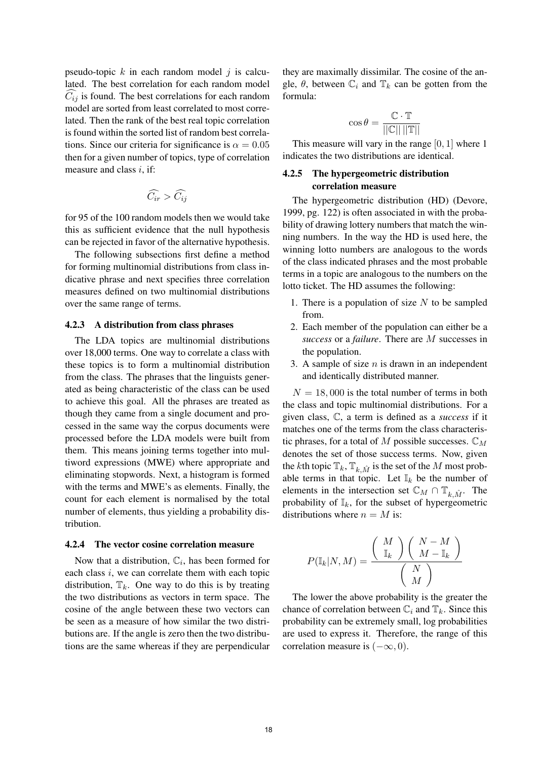pseudo-topic  $k$  in each random model  $j$  is calculated. The best correlation for each random model  $C_{ij}$  is found. The best correlations for each random model are sorted from least correlated to most correlated. Then the rank of the best real topic correlation is found within the sorted list of random best correlations. Since our criteria for significance is  $\alpha = 0.05$ then for a given number of topics, type of correlation measure and class  $i$ , if:

$$
\widehat{C_{ir}} > \widehat{C_{ij}}
$$

for 95 of the 100 random models then we would take this as sufficient evidence that the null hypothesis can be rejected in favor of the alternative hypothesis.

The following subsections first define a method for forming multinomial distributions from class indicative phrase and next specifies three correlation measures defined on two multinomial distributions over the same range of terms.

#### 4.2.3 A distribution from class phrases

The LDA topics are multinomial distributions over 18,000 terms. One way to correlate a class with these topics is to form a multinomial distribution from the class. The phrases that the linguists generated as being characteristic of the class can be used to achieve this goal. All the phrases are treated as though they came from a single document and processed in the same way the corpus documents were processed before the LDA models were built from them. This means joining terms together into multiword expressions (MWE) where appropriate and eliminating stopwords. Next, a histogram is formed with the terms and MWE's as elements. Finally, the count for each element is normalised by the total number of elements, thus yielding a probability distribution.

#### 4.2.4 The vector cosine correlation measure

Now that a distribution,  $\mathbb{C}_i$ , has been formed for each class  $i$ , we can correlate them with each topic distribution,  $\mathbb{T}_k$ . One way to do this is by treating the two distributions as vectors in term space. The cosine of the angle between these two vectors can be seen as a measure of how similar the two distributions are. If the angle is zero then the two distributions are the same whereas if they are perpendicular they are maximally dissimilar. The cosine of the angle,  $\theta$ , between  $\mathbb{C}_i$  and  $\mathbb{T}_k$  can be gotten from the formula:

$$
\cos \theta = \frac{\mathbb{C} \cdot \mathbb{T}}{||\mathbb{C}|| \, ||\mathbb{T}||}
$$

This measure will vary in the range [0, 1] where 1 indicates the two distributions are identical.

# 4.2.5 The hypergeometric distribution correlation measure

The hypergeometric distribution (HD) (Devore, 1999, pg. 122) is often associated in with the probability of drawing lottery numbers that match the winning numbers. In the way the HD is used here, the winning lotto numbers are analogous to the words of the class indicated phrases and the most probable terms in a topic are analogous to the numbers on the lotto ticket. The HD assumes the following:

- 1. There is a population of size  $N$  to be sampled from.
- 2. Each member of the population can either be a *success* or a *failure*. There are M successes in the population.
- 3. A sample of size  $n$  is drawn in an independent and identically distributed manner.

 $N = 18,000$  is the total number of terms in both the class and topic multinomial distributions. For a given class, C, a term is defined as a *success* if it matches one of the terms from the class characteristic phrases, for a total of M possible successes.  $\mathbb{C}_M$ denotes the set of those success terms. Now, given the kth topic  $\mathbb{T}_k$ ,  $\mathbb{T}_{k,\hat{M}}$  is the set of the M most probable terms in that topic. Let  $\mathbb{I}_k$  be the number of elements in the intersection set  $\mathbb{C}_M \cap \mathbb{T}_{k \hat{M}}$ . The probability of  $\mathbb{I}_k$ , for the subset of hypergeometric distributions where  $n = M$  is:

$$
P(\mathbb{I}_k | N, M) = \frac{\left(\begin{array}{c} M \\ \mathbb{I}_k \end{array}\right)\left(\begin{array}{c} N-M \\ M-\mathbb{I}_k \end{array}\right)}{\left(\begin{array}{c} N \\ M \end{array}\right)}
$$

The lower the above probability is the greater the chance of correlation between  $\mathbb{C}_i$  and  $\mathbb{T}_k$ . Since this probability can be extremely small, log probabilities are used to express it. Therefore, the range of this correlation measure is  $(-\infty, 0)$ .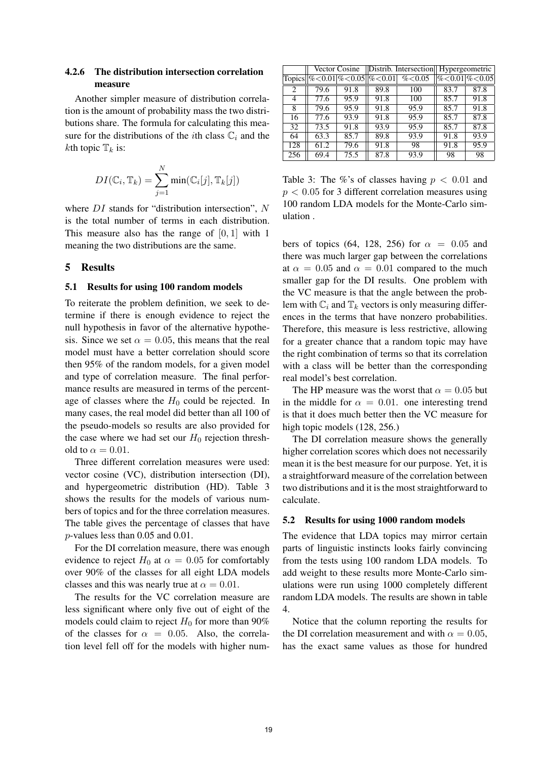# 4.2.6 The distribution intersection correlation measure

Another simpler measure of distribution correlation is the amount of probability mass the two distributions share. The formula for calculating this measure for the distributions of the *i*th class  $\mathbb{C}_i$  and the kth topic  $\mathbb{T}_k$  is:

$$
DI(\mathbb{C}_i, \mathbb{T}_k) = \sum_{j=1}^N \min(\mathbb{C}_i[j], \mathbb{T}_k[j])
$$

where *DI* stands for "distribution intersection", N is the total number of terms in each distribution. This measure also has the range of  $[0, 1]$  with 1 meaning the two distributions are the same.

# 5 Results

### 5.1 Results for using 100 random models

To reiterate the problem definition, we seek to determine if there is enough evidence to reject the null hypothesis in favor of the alternative hypothesis. Since we set  $\alpha = 0.05$ , this means that the real model must have a better correlation should score then 95% of the random models, for a given model and type of correlation measure. The final performance results are measured in terms of the percentage of classes where the  $H_0$  could be rejected. In many cases, the real model did better than all 100 of the pseudo-models so results are also provided for the case where we had set our  $H_0$  rejection threshold to  $\alpha = 0.01$ .

Three different correlation measures were used: vector cosine (VC), distribution intersection (DI), and hypergeometric distribution (HD). Table 3 shows the results for the models of various numbers of topics and for the three correlation measures. The table gives the percentage of classes that have p-values less than 0.05 and 0.01.

For the DI correlation measure, there was enough evidence to reject  $H_0$  at  $\alpha = 0.05$  for comfortably over 90% of the classes for all eight LDA models classes and this was nearly true at  $\alpha = 0.01$ .

The results for the VC correlation measure are less significant where only five out of eight of the models could claim to reject  $H_0$  for more than 90% of the classes for  $\alpha = 0.05$ . Also, the correlation level fell off for the models with higher num-

|     | Vector Cosine |      | Distrib. Intersection Hypergeometric |          |                                   |      |
|-----|---------------|------|--------------------------------------|----------|-----------------------------------|------|
|     |               |      | Topics  %<0.01 %<0.05  %<0.01        | % < 0.05 | $\frac{\%}{\%}\$ 0.01 $\%$ < 0.05 |      |
| 2   | 79.6          | 91.8 | 89.8                                 | 100      | 83.7                              | 87.8 |
| 4   | 77.6          | 95.9 | 91.8                                 | 100      | 85.7                              | 91.8 |
| 8   | 79.6          | 95.9 | 91.8                                 | 95.9     | 85.7                              | 91.8 |
| 16  | 77.6          | 93.9 | 91.8                                 | 95.9     | 85.7                              | 87.8 |
| 32  | 73.5          | 91.8 | 93.9                                 | 95.9     | 85.7                              | 87.8 |
| 64  | 63.3          | 85.7 | 89.8                                 | 93.9     | 91.8                              | 93.9 |
| 128 | 61.2          | 79.6 | 91.8                                 | 98       | 91.8                              | 95.9 |
| 256 | 69.4          | 75.5 | 87.8                                 | 93.9     | 98                                | 98   |

Table 3: The %'s of classes having  $p < 0.01$  and  $p < 0.05$  for 3 different correlation measures using 100 random LDA models for the Monte-Carlo simulation .

bers of topics (64, 128, 256) for  $\alpha = 0.05$  and there was much larger gap between the correlations at  $\alpha = 0.05$  and  $\alpha = 0.01$  compared to the much smaller gap for the DI results. One problem with the VC measure is that the angle between the problem with  $\mathbb{C}_i$  and  $\mathbb{T}_k$  vectors is only measuring differences in the terms that have nonzero probabilities. Therefore, this measure is less restrictive, allowing for a greater chance that a random topic may have the right combination of terms so that its correlation with a class will be better than the corresponding real model's best correlation.

The HP measure was the worst that  $\alpha = 0.05$  but in the middle for  $\alpha = 0.01$ . one interesting trend is that it does much better then the VC measure for high topic models (128, 256.)

The DI correlation measure shows the generally higher correlation scores which does not necessarily mean it is the best measure for our purpose. Yet, it is a straightforward measure of the correlation between two distributions and it is the most straightforward to calculate.

#### 5.2 Results for using 1000 random models

The evidence that LDA topics may mirror certain parts of linguistic instincts looks fairly convincing from the tests using 100 random LDA models. To add weight to these results more Monte-Carlo simulations were run using 1000 completely different random LDA models. The results are shown in table 4.

Notice that the column reporting the results for the DI correlation measurement and with  $\alpha = 0.05$ , has the exact same values as those for hundred